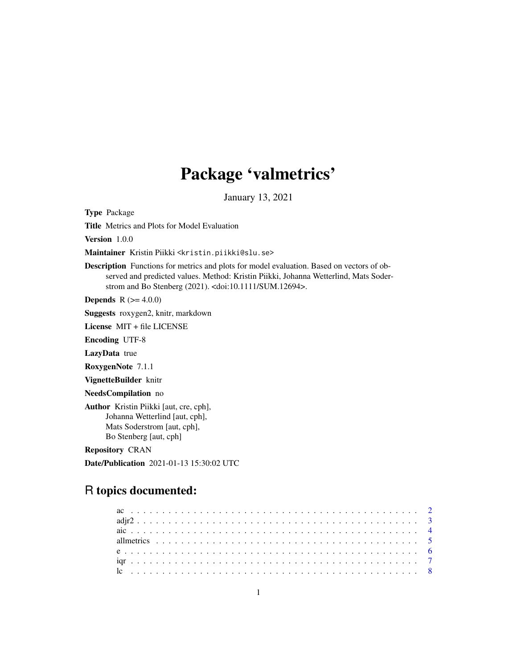# Package 'valmetrics'

January 13, 2021

Type Package

Title Metrics and Plots for Model Evaluation

Version 1.0.0

Maintainer Kristin Piikki <kristin.piikki@slu.se>

Description Functions for metrics and plots for model evaluation. Based on vectors of observed and predicted values. Method: Kristin Piikki, Johanna Wetterlind, Mats Soderstrom and Bo Stenberg (2021). <doi:10.1111/SUM.12694>.

**Depends** R  $(>= 4.0.0)$ 

Suggests roxygen2, knitr, markdown

License MIT + file LICENSE

Encoding UTF-8

LazyData true

RoxygenNote 7.1.1

VignetteBuilder knitr

NeedsCompilation no

Author Kristin Piikki [aut, cre, cph], Johanna Wetterlind [aut, cph], Mats Soderstrom [aut, cph], Bo Stenberg [aut, cph]

Repository CRAN

Date/Publication 2021-01-13 15:30:02 UTC

# R topics documented: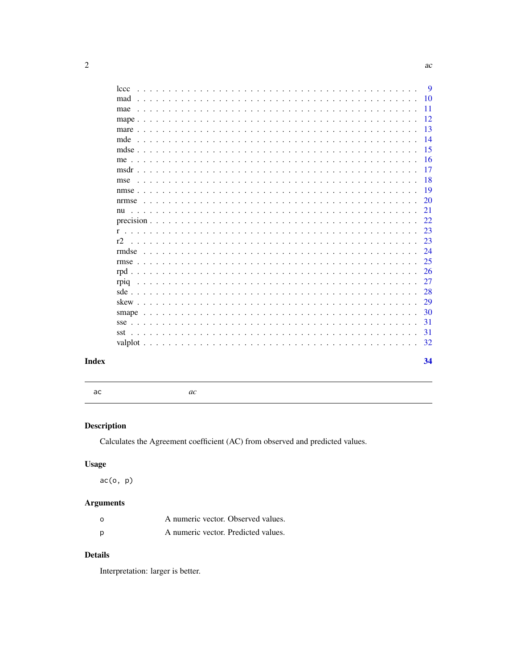|       | ۰. |
|-------|----|
| - - - |    |

<span id="page-1-0"></span>

| lccc | <b>9</b> |
|------|----------|
| mad  | 10       |
| mae  | -11      |
|      | 12       |
|      | 13       |
|      | -14      |
|      | 15       |
|      | 16       |
|      | 17       |
| mse  | 18       |
|      | 19       |
|      | 20       |
|      | 21       |
|      | 22       |
|      | 23       |
| r2   | 23       |
|      | 24       |
|      | 25       |
|      | 26       |
|      | 27       |
|      | 28       |
|      | 29       |
|      | 30       |
|      | 31       |
|      | 31       |
|      | 32       |
|      |          |
|      | 34       |
|      |          |

# **Index**

ac

 $ac$ 

# Description

Calculates the Agreement coefficient (AC) from observed and predicted values.

# **Usage**

 $ac(o, p)$ 

# **Arguments**

| $\Omega$ | A numeric vector. Observed values.  |  |
|----------|-------------------------------------|--|
| p        | A numeric vector. Predicted values. |  |

# **Details**

Interpretation: larger is better.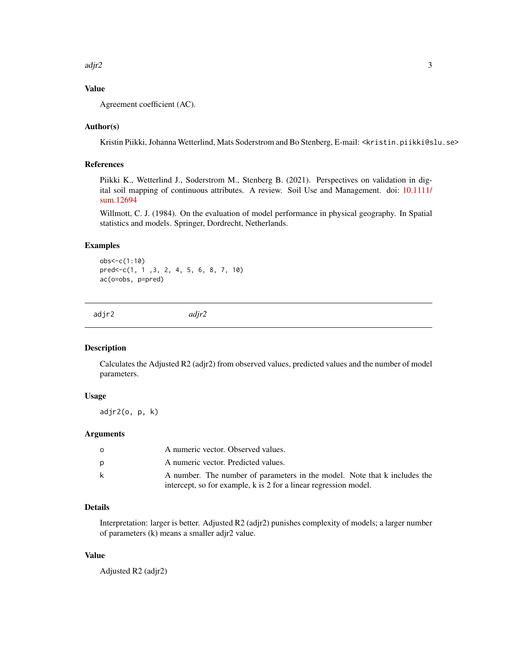<span id="page-2-0"></span> $\frac{adjr}{2}$  3

# Value

Agreement coefficient (AC).

## Author(s)

Kristin Piikki, Johanna Wetterlind, Mats Soderstrom and Bo Stenberg, E-mail: <kristin.piikki@slu.se>

#### References

Piikki K., Wetterlind J., Soderstrom M., Stenberg B. (2021). Perspectives on validation in digital soil mapping of continuous attributes. A review. Soil Use and Management. doi: [10.1111/](https://doi.org/10.1111/sum.12694) [sum.12694](https://doi.org/10.1111/sum.12694)

Willmott, C. J. (1984). On the evaluation of model performance in physical geography. In Spatial statistics and models. Springer, Dordrecht, Netherlands.

## Examples

obs<-c(1:10) pred<-c(1, 1 ,3, 2, 4, 5, 6, 8, 7, 10) ac(o=obs, p=pred)

adjr2 *adjr2*

#### Description

Calculates the Adjusted R2 (adjr2) from observed values, predicted values and the number of model parameters.

#### Usage

adjr2(o, p, k)

#### Arguments

| O. | A numeric vector. Observed values.                                        |
|----|---------------------------------------------------------------------------|
|    | A numeric vector. Predicted values.                                       |
| k  | A number. The number of parameters in the model. Note that k includes the |
|    | intercept, so for example, k is 2 for a linear regression model.          |

## Details

Interpretation: larger is better. Adjusted R2 (adjr2) punishes complexity of models; a larger number of parameters (k) means a smaller adjr2 value.

## Value

Adjusted R2 (adjr2)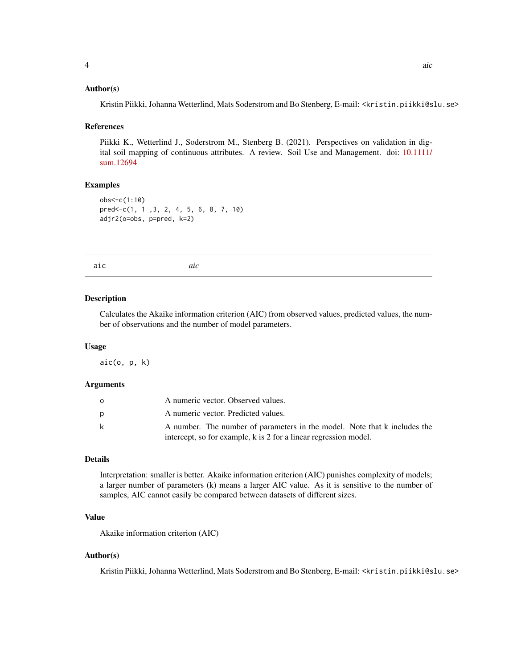#### <span id="page-3-0"></span>Author(s)

Kristin Piikki, Johanna Wetterlind, Mats Soderstrom and Bo Stenberg, E-mail: <kristin.piikki@slu.se>

#### References

Piikki K., Wetterlind J., Soderstrom M., Stenberg B. (2021). Perspectives on validation in digital soil mapping of continuous attributes. A review. Soil Use and Management. doi: [10.1111/](https://doi.org/10.1111/sum.12694) [sum.12694](https://doi.org/10.1111/sum.12694)

#### Examples

```
obs<-c(1:10)
pred<-c(1, 1 ,3, 2, 4, 5, 6, 8, 7, 10)
adjr2(o=obs, p=pred, k=2)
```
aic *aic*

#### Description

Calculates the Akaike information criterion (AIC) from observed values, predicted values, the number of observations and the number of model parameters.

#### Usage

aic(o, p, k)

#### **Arguments**

| O  | A numeric vector. Observed values.                                        |
|----|---------------------------------------------------------------------------|
|    | A numeric vector. Predicted values.                                       |
| k. | A number. The number of parameters in the model. Note that k includes the |
|    | intercept, so for example, k is 2 for a linear regression model.          |

## Details

Interpretation: smaller is better. Akaike information criterion (AIC) punishes complexity of models; a larger number of parameters (k) means a larger AIC value. As it is sensitive to the number of samples, AIC cannot easily be compared between datasets of different sizes.

#### Value

Akaike information criterion (AIC)

#### Author(s)

Kristin Piikki, Johanna Wetterlind, Mats Soderstrom and Bo Stenberg, E-mail: <kristin.piikki@slu.se>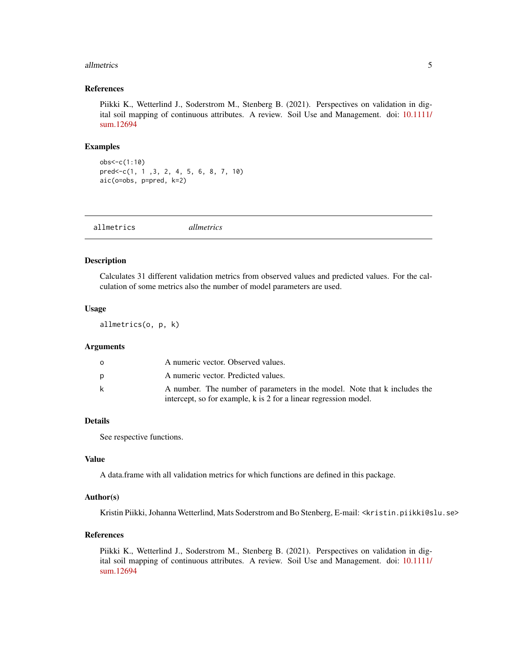#### <span id="page-4-0"></span>allmetrics 5

#### References

Piikki K., Wetterlind J., Soderstrom M., Stenberg B. (2021). Perspectives on validation in digital soil mapping of continuous attributes. A review. Soil Use and Management. doi: [10.1111/](https://doi.org/10.1111/sum.12694) [sum.12694](https://doi.org/10.1111/sum.12694)

#### Examples

obs<-c(1:10) pred<-c(1, 1 ,3, 2, 4, 5, 6, 8, 7, 10) aic(o=obs, p=pred, k=2)

| allmetrics | allmetrics |  |
|------------|------------|--|
|            |            |  |

#### Description

Calculates 31 different validation metrics from observed values and predicted values. For the calculation of some metrics also the number of model parameters are used.

#### Usage

allmetrics(o, p, k)

#### Arguments

| <sup>o</sup> | A numeric vector. Observed values.                                        |
|--------------|---------------------------------------------------------------------------|
| D            | A numeric vector. Predicted values.                                       |
| k            | A number. The number of parameters in the model. Note that k includes the |
|              | intercept, so for example, k is 2 for a linear regression model.          |

#### Details

See respective functions.

## Value

A data.frame with all validation metrics for which functions are defined in this package.

#### Author(s)

Kristin Piikki, Johanna Wetterlind, Mats Soderstrom and Bo Stenberg, E-mail: <kristin.piikki@slu.se>

## References

Piikki K., Wetterlind J., Soderstrom M., Stenberg B. (2021). Perspectives on validation in digital soil mapping of continuous attributes. A review. Soil Use and Management. doi: [10.1111/](https://doi.org/10.1111/sum.12694) [sum.12694](https://doi.org/10.1111/sum.12694)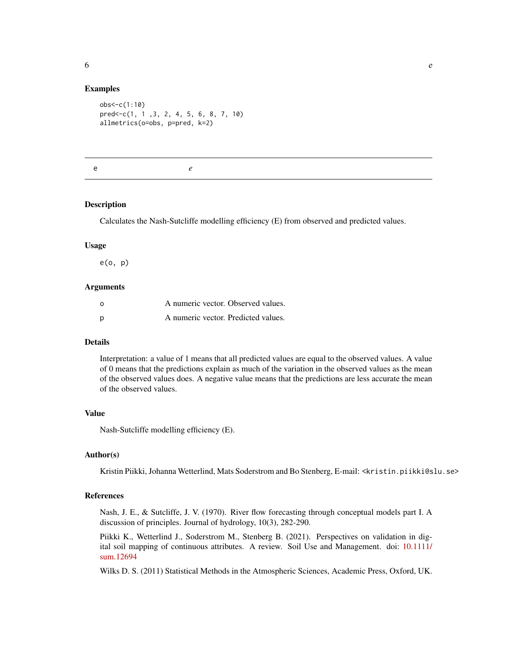#### <span id="page-5-0"></span>Examples

```
obs<-c(1:10)
pred<-c(1, 1 ,3, 2, 4, 5, 6, 8, 7, 10)
allmetrics(o=obs, p=pred, k=2)
```
e *e*

#### **Description**

Calculates the Nash-Sutcliffe modelling efficiency (E) from observed and predicted values.

#### Usage

e(o, p)

#### Arguments

| $\Omega$ | A numeric vector. Observed values.  |  |
|----------|-------------------------------------|--|
| p        | A numeric vector. Predicted values. |  |

#### Details

Interpretation: a value of 1 means that all predicted values are equal to the observed values. A value of 0 means that the predictions explain as much of the variation in the observed values as the mean of the observed values does. A negative value means that the predictions are less accurate the mean of the observed values.

## Value

Nash-Sutcliffe modelling efficiency (E).

#### Author(s)

Kristin Piikki, Johanna Wetterlind, Mats Soderstrom and Bo Stenberg, E-mail: <kristin.piikki@slu.se>

#### References

Nash, J. E., & Sutcliffe, J. V. (1970). River flow forecasting through conceptual models part I. A discussion of principles. Journal of hydrology, 10(3), 282-290.

Piikki K., Wetterlind J., Soderstrom M., Stenberg B. (2021). Perspectives on validation in digital soil mapping of continuous attributes. A review. Soil Use and Management. doi: [10.1111/](https://doi.org/10.1111/sum.12694) [sum.12694](https://doi.org/10.1111/sum.12694)

Wilks D. S. (2011) Statistical Methods in the Atmospheric Sciences, Academic Press, Oxford, UK.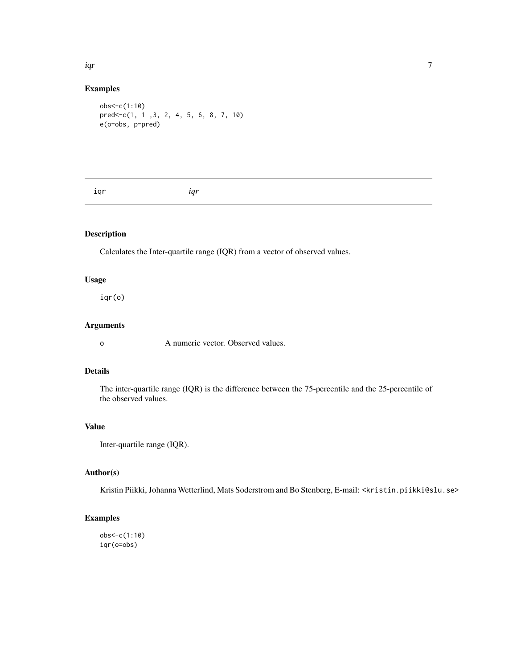<span id="page-6-0"></span>iqr 7

#### Examples

```
obs<-c(1:10)
pred<-c(1, 1 ,3, 2, 4, 5, 6, 8, 7, 10)
e(o=obs, p=pred)
```
iqr *iqr*

# Description

Calculates the Inter-quartile range (IQR) from a vector of observed values.

## Usage

iqr(o)

## Arguments

o A numeric vector. Observed values.

# Details

The inter-quartile range (IQR) is the difference between the 75-percentile and the 25-percentile of the observed values.

# Value

Inter-quartile range (IQR).

## Author(s)

Kristin Piikki, Johanna Wetterlind, Mats Soderstrom and Bo Stenberg, E-mail: <kristin.piikki@slu.se>

#### Examples

obs<-c(1:10) iqr(o=obs)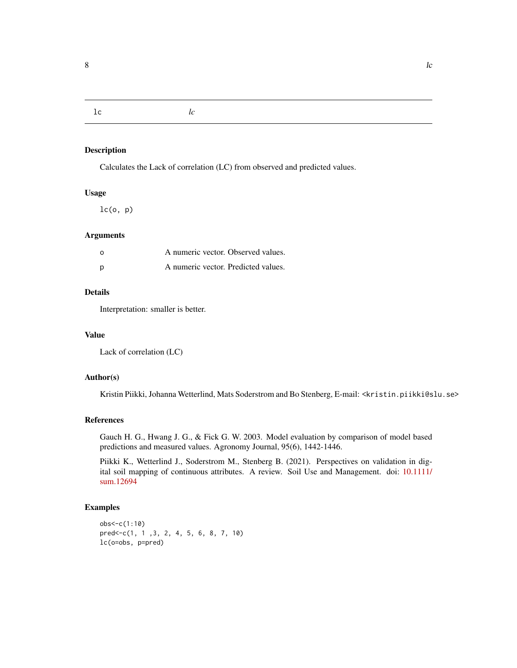<span id="page-7-0"></span>lc *lc*

# Description

Calculates the Lack of correlation (LC) from observed and predicted values.

# Usage

 $lc(o, p)$ 

## **Arguments**

| $\Omega$ | A numeric vector. Observed values.  |  |
|----------|-------------------------------------|--|
| D        | A numeric vector. Predicted values. |  |

# Details

Interpretation: smaller is better.

#### Value

Lack of correlation (LC)

## Author(s)

Kristin Piikki, Johanna Wetterlind, Mats Soderstrom and Bo Stenberg, E-mail: <kristin.piikki@slu.se>

#### References

Gauch H. G., Hwang J. G., & Fick G. W. 2003. Model evaluation by comparison of model based predictions and measured values. Agronomy Journal, 95(6), 1442-1446.

Piikki K., Wetterlind J., Soderstrom M., Stenberg B. (2021). Perspectives on validation in digital soil mapping of continuous attributes. A review. Soil Use and Management. doi: [10.1111/](https://doi.org/10.1111/sum.12694) [sum.12694](https://doi.org/10.1111/sum.12694)

```
obs<-c(1:10)
pred<-c(1, 1 ,3, 2, 4, 5, 6, 8, 7, 10)
lc(o=obs, p=pred)
```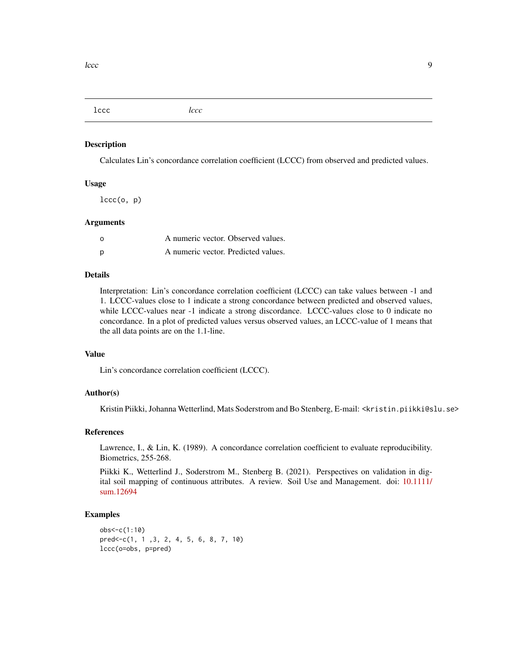<span id="page-8-0"></span>lccc *lccc*

#### Description

Calculates Lin's concordance correlation coefficient (LCCC) from observed and predicted values.

#### Usage

 $lccc(o, p)$ 

#### Arguments

| $\Omega$ | A numeric vector. Observed values.  |  |
|----------|-------------------------------------|--|
| p        | A numeric vector. Predicted values. |  |

## Details

Interpretation: Lin's concordance correlation coefficient (LCCC) can take values between -1 and 1. LCCC-values close to 1 indicate a strong concordance between predicted and observed values, while LCCC-values near -1 indicate a strong discordance. LCCC-values close to 0 indicate no concordance. In a plot of predicted values versus observed values, an LCCC-value of 1 means that the all data points are on the 1.1-line.

#### Value

Lin's concordance correlation coefficient (LCCC).

#### Author(s)

Kristin Piikki, Johanna Wetterlind, Mats Soderstrom and Bo Stenberg, E-mail: <kristin.piikki@slu.se>

#### References

Lawrence, I., & Lin, K. (1989). A concordance correlation coefficient to evaluate reproducibility. Biometrics, 255-268.

Piikki K., Wetterlind J., Soderstrom M., Stenberg B. (2021). Perspectives on validation in digital soil mapping of continuous attributes. A review. Soil Use and Management. doi: [10.1111/](https://doi.org/10.1111/sum.12694) [sum.12694](https://doi.org/10.1111/sum.12694)

```
obs<-c(1:10)
pred<-c(1, 1 ,3, 2, 4, 5, 6, 8, 7, 10)
lccc(o=obs, p=pred)
```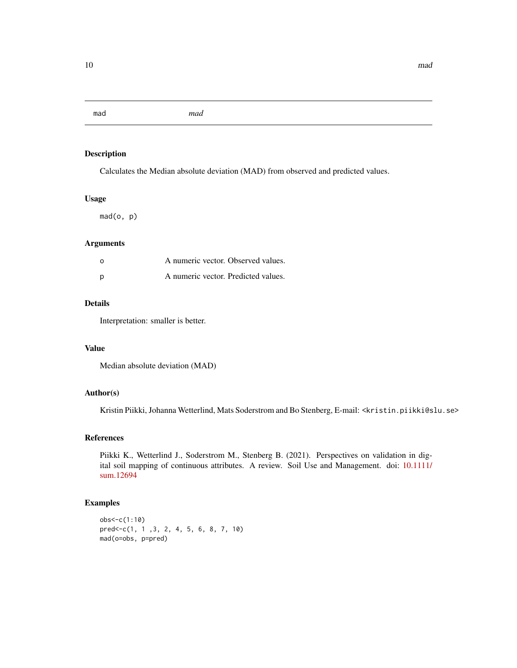<span id="page-9-0"></span>mad *mad*

## Description

Calculates the Median absolute deviation (MAD) from observed and predicted values.

## Usage

mad(o, p)

## Arguments

| - റ | A numeric vector. Observed values.  |  |
|-----|-------------------------------------|--|
|     | A numeric vector. Predicted values. |  |

#### Details

Interpretation: smaller is better.

## Value

Median absolute deviation (MAD)

#### Author(s)

Kristin Piikki, Johanna Wetterlind, Mats Soderstrom and Bo Stenberg, E-mail: <kristin.piikki@slu.se>

#### References

Piikki K., Wetterlind J., Soderstrom M., Stenberg B. (2021). Perspectives on validation in digital soil mapping of continuous attributes. A review. Soil Use and Management. doi: [10.1111/](https://doi.org/10.1111/sum.12694) [sum.12694](https://doi.org/10.1111/sum.12694)

```
obs<-c(1:10)
pred<-c(1, 1 ,3, 2, 4, 5, 6, 8, 7, 10)
mad(o=obs, p=pred)
```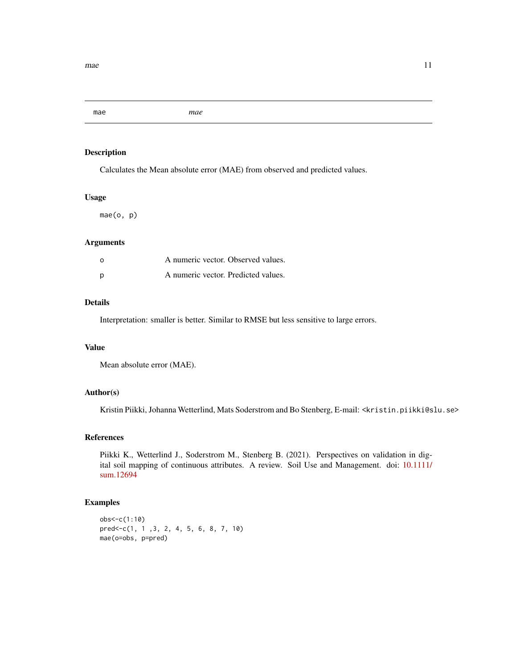<span id="page-10-0"></span>mae *mae*

## Description

Calculates the Mean absolute error (MAE) from observed and predicted values.

#### Usage

mae(o, p)

#### Arguments

| - റ | A numeric vector. Observed values.  |  |
|-----|-------------------------------------|--|
|     | A numeric vector. Predicted values. |  |

# Details

Interpretation: smaller is better. Similar to RMSE but less sensitive to large errors.

#### Value

Mean absolute error (MAE).

# Author(s)

Kristin Piikki, Johanna Wetterlind, Mats Soderstrom and Bo Stenberg, E-mail: <kristin.piikki@slu.se>

#### References

Piikki K., Wetterlind J., Soderstrom M., Stenberg B. (2021). Perspectives on validation in digital soil mapping of continuous attributes. A review. Soil Use and Management. doi: [10.1111/](https://doi.org/10.1111/sum.12694) [sum.12694](https://doi.org/10.1111/sum.12694)

```
obs<-c(1:10)
pred<-c(1, 1 ,3, 2, 4, 5, 6, 8, 7, 10)
mae(o=obs, p=pred)
```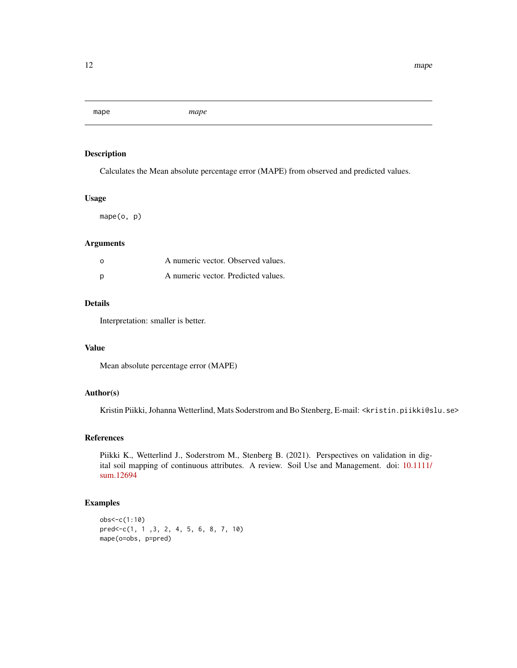<span id="page-11-0"></span>mape *mape*

## Description

Calculates the Mean absolute percentage error (MAPE) from observed and predicted values.

## Usage

mape(o, p)

## Arguments

| - റ | A numeric vector. Observed values.  |  |
|-----|-------------------------------------|--|
|     | A numeric vector. Predicted values. |  |

#### Details

Interpretation: smaller is better.

## Value

Mean absolute percentage error (MAPE)

#### Author(s)

Kristin Piikki, Johanna Wetterlind, Mats Soderstrom and Bo Stenberg, E-mail: <kristin.piikki@slu.se>

## References

Piikki K., Wetterlind J., Soderstrom M., Stenberg B. (2021). Perspectives on validation in digital soil mapping of continuous attributes. A review. Soil Use and Management. doi: [10.1111/](https://doi.org/10.1111/sum.12694) [sum.12694](https://doi.org/10.1111/sum.12694)

```
obs<-c(1:10)
pred<-c(1, 1 ,3, 2, 4, 5, 6, 8, 7, 10)
mape(o=obs, p=pred)
```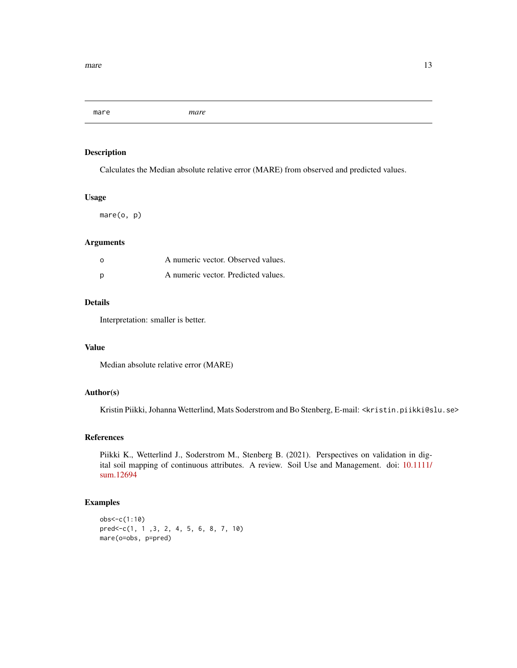<span id="page-12-0"></span>mare *mare*

## Description

Calculates the Median absolute relative error (MARE) from observed and predicted values.

#### Usage

mare(o, p)

#### Arguments

| - റ | A numeric vector. Observed values.  |  |
|-----|-------------------------------------|--|
|     | A numeric vector. Predicted values. |  |

# Details

Interpretation: smaller is better.

#### Value

Median absolute relative error (MARE)

# Author(s)

Kristin Piikki, Johanna Wetterlind, Mats Soderstrom and Bo Stenberg, E-mail: <kristin.piikki@slu.se>

#### References

Piikki K., Wetterlind J., Soderstrom M., Stenberg B. (2021). Perspectives on validation in digital soil mapping of continuous attributes. A review. Soil Use and Management. doi: [10.1111/](https://doi.org/10.1111/sum.12694) [sum.12694](https://doi.org/10.1111/sum.12694)

```
obs<-c(1:10)
pred<-c(1, 1 ,3, 2, 4, 5, 6, 8, 7, 10)
mare(o=obs, p=pred)
```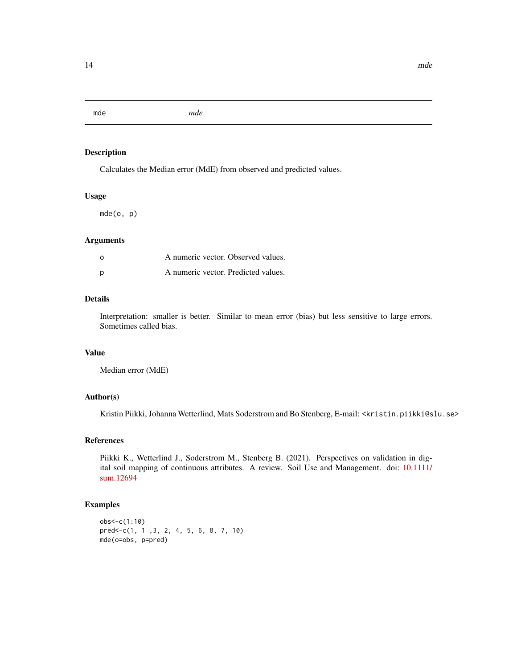<span id="page-13-0"></span>mde *mde*

## Description

Calculates the Median error (MdE) from observed and predicted values.

#### Usage

mde(o, p)

#### Arguments

| $\Omega$ | A numeric vector. Observed values.  |  |
|----------|-------------------------------------|--|
| p        | A numeric vector. Predicted values. |  |

## Details

Interpretation: smaller is better. Similar to mean error (bias) but less sensitive to large errors. Sometimes called bias.

# Value

Median error (MdE)

## Author(s)

Kristin Piikki, Johanna Wetterlind, Mats Soderstrom and Bo Stenberg, E-mail: <kristin.piikki@slu.se>

#### References

Piikki K., Wetterlind J., Soderstrom M., Stenberg B. (2021). Perspectives on validation in digital soil mapping of continuous attributes. A review. Soil Use and Management. doi: [10.1111/](https://doi.org/10.1111/sum.12694) [sum.12694](https://doi.org/10.1111/sum.12694)

```
obs<-c(1:10)
pred<-c(1, 1 ,3, 2, 4, 5, 6, 8, 7, 10)
mde(o=obs, p=pred)
```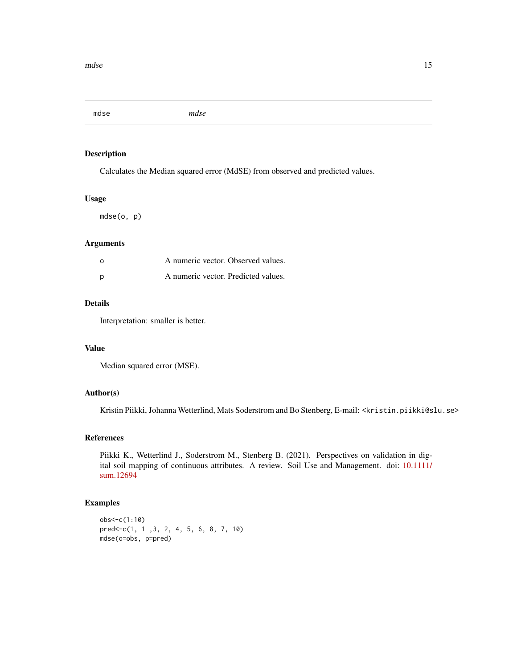<span id="page-14-0"></span>mdse *mdse*

## Description

Calculates the Median squared error (MdSE) from observed and predicted values.

## Usage

mdse(o, p)

## Arguments

| - റ | A numeric vector. Observed values.  |  |
|-----|-------------------------------------|--|
|     | A numeric vector. Predicted values. |  |

## Details

Interpretation: smaller is better.

## Value

Median squared error (MSE).

#### Author(s)

Kristin Piikki, Johanna Wetterlind, Mats Soderstrom and Bo Stenberg, E-mail: <kristin.piikki@slu.se>

#### References

Piikki K., Wetterlind J., Soderstrom M., Stenberg B. (2021). Perspectives on validation in digital soil mapping of continuous attributes. A review. Soil Use and Management. doi: [10.1111/](https://doi.org/10.1111/sum.12694) [sum.12694](https://doi.org/10.1111/sum.12694)

```
obs<-c(1:10)
pred<-c(1, 1 ,3, 2, 4, 5, 6, 8, 7, 10)
mdse(o=obs, p=pred)
```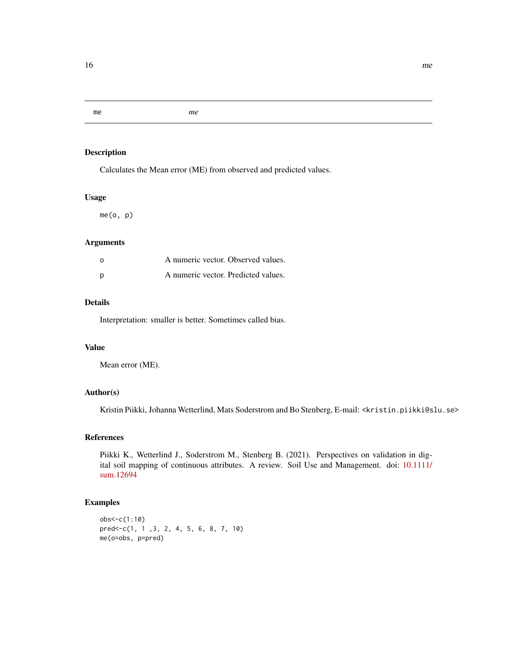#### <span id="page-15-0"></span>me *me*

# Description

Calculates the Mean error (ME) from observed and predicted values.

## Usage

me(o, p)

# Arguments

| - റ | A numeric vector. Observed values.  |  |
|-----|-------------------------------------|--|
| - p | A numeric vector. Predicted values. |  |

# Details

Interpretation: smaller is better. Sometimes called bias.

## Value

Mean error (ME).

# Author(s)

Kristin Piikki, Johanna Wetterlind, Mats Soderstrom and Bo Stenberg, E-mail: <kristin.piikki@slu.se>

## References

Piikki K., Wetterlind J., Soderstrom M., Stenberg B. (2021). Perspectives on validation in digital soil mapping of continuous attributes. A review. Soil Use and Management. doi: [10.1111/](https://doi.org/10.1111/sum.12694) [sum.12694](https://doi.org/10.1111/sum.12694)

```
obs<-c(1:10)
pred<-c(1, 1 ,3, 2, 4, 5, 6, 8, 7, 10)
me(o=obs, p=pred)
```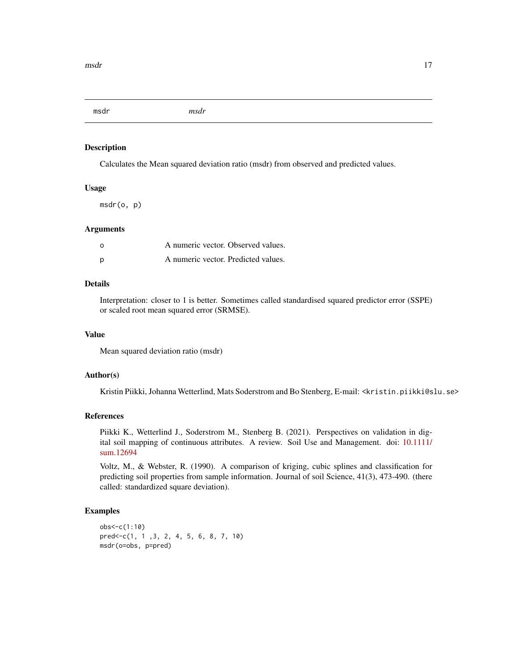<span id="page-16-0"></span>msdr *msdr*

#### Description

Calculates the Mean squared deviation ratio (msdr) from observed and predicted values.

#### Usage

msdr(o, p)

#### Arguments

| - റ | A numeric vector. Observed values.  |  |
|-----|-------------------------------------|--|
| D   | A numeric vector. Predicted values. |  |

## Details

Interpretation: closer to 1 is better. Sometimes called standardised squared predictor error (SSPE) or scaled root mean squared error (SRMSE).

## Value

Mean squared deviation ratio (msdr)

## Author(s)

Kristin Piikki, Johanna Wetterlind, Mats Soderstrom and Bo Stenberg, E-mail: <kristin.piikki@slu.se>

#### References

Piikki K., Wetterlind J., Soderstrom M., Stenberg B. (2021). Perspectives on validation in digital soil mapping of continuous attributes. A review. Soil Use and Management. doi: [10.1111/](https://doi.org/10.1111/sum.12694) [sum.12694](https://doi.org/10.1111/sum.12694)

Voltz, M., & Webster, R. (1990). A comparison of kriging, cubic splines and classification for predicting soil properties from sample information. Journal of soil Science, 41(3), 473-490. (there called: standardized square deviation).

```
obs<-c(1:10)
pred<-c(1, 1 ,3, 2, 4, 5, 6, 8, 7, 10)
msdr(o=obs, p=pred)
```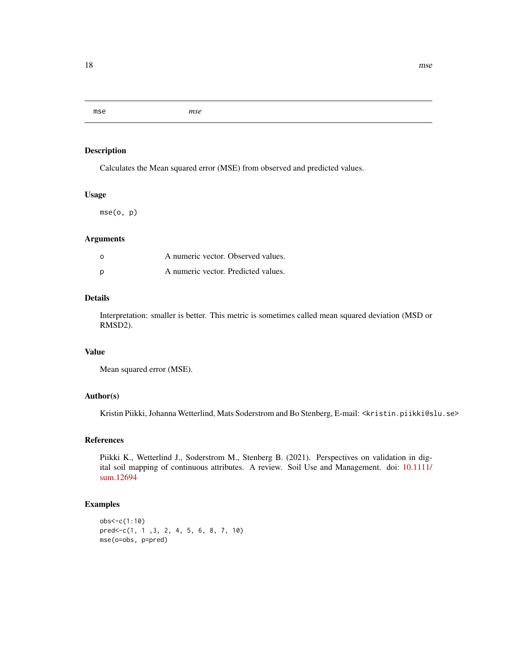<span id="page-17-0"></span>mse *mse*

## Description

Calculates the Mean squared error (MSE) from observed and predicted values.

## Usage

mse(o, p)

#### Arguments

| $\Omega$ | A numeric vector. Observed values.  |  |
|----------|-------------------------------------|--|
| D        | A numeric vector. Predicted values. |  |

## Details

Interpretation: smaller is better. This metric is sometimes called mean squared deviation (MSD or RMSD2).

#### Value

Mean squared error (MSE).

#### Author(s)

Kristin Piikki, Johanna Wetterlind, Mats Soderstrom and Bo Stenberg, E-mail: <kristin.piikki@slu.se>

## References

Piikki K., Wetterlind J., Soderstrom M., Stenberg B. (2021). Perspectives on validation in digital soil mapping of continuous attributes. A review. Soil Use and Management. doi: [10.1111/](https://doi.org/10.1111/sum.12694) [sum.12694](https://doi.org/10.1111/sum.12694)

```
obs<-c(1:10)
pred<-c(1, 1 ,3, 2, 4, 5, 6, 8, 7, 10)
mse(o=obs, p=pred)
```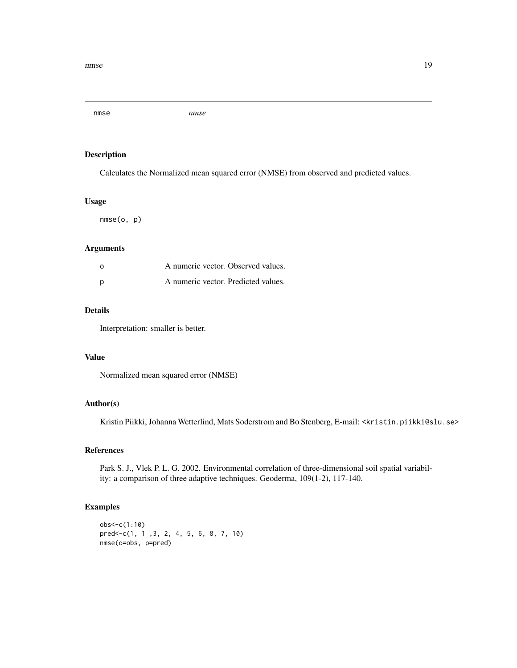<span id="page-18-0"></span>nmse *nmse*

#### Description

Calculates the Normalized mean squared error (NMSE) from observed and predicted values.

#### Usage

nmse(o, p)

## Arguments

| $\Omega$ | A numeric vector. Observed values.  |  |
|----------|-------------------------------------|--|
| D        | A numeric vector. Predicted values. |  |

## Details

Interpretation: smaller is better.

# Value

Normalized mean squared error (NMSE)

#### Author(s)

Kristin Piikki, Johanna Wetterlind, Mats Soderstrom and Bo Stenberg, E-mail: <kristin.piikki@slu.se>

# References

Park S. J., Vlek P. L. G. 2002. Environmental correlation of three-dimensional soil spatial variability: a comparison of three adaptive techniques. Geoderma, 109(1-2), 117-140.

```
obs<-c(1:10)
pred<-c(1, 1 ,3, 2, 4, 5, 6, 8, 7, 10)
nmse(o=obs, p=pred)
```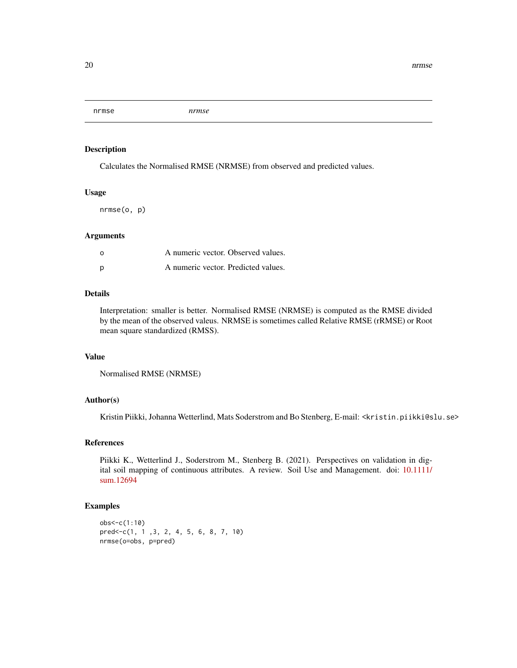<span id="page-19-0"></span>nrmse *nrmse*

#### Description

Calculates the Normalised RMSE (NRMSE) from observed and predicted values.

#### Usage

nrmse(o, p)

#### Arguments

| $\Omega$ | A numeric vector. Observed values.  |  |
|----------|-------------------------------------|--|
| D        | A numeric vector. Predicted values. |  |

# Details

Interpretation: smaller is better. Normalised RMSE (NRMSE) is computed as the RMSE divided by the mean of the observed valeus. NRMSE is sometimes called Relative RMSE (rRMSE) or Root mean square standardized (RMSS).

## Value

```
Normalised RMSE (NRMSE)
```
## Author(s)

Kristin Piikki, Johanna Wetterlind, Mats Soderstrom and Bo Stenberg, E-mail: <kristin.piikki@slu.se>

#### References

Piikki K., Wetterlind J., Soderstrom M., Stenberg B. (2021). Perspectives on validation in digital soil mapping of continuous attributes. A review. Soil Use and Management. doi: [10.1111/](https://doi.org/10.1111/sum.12694) [sum.12694](https://doi.org/10.1111/sum.12694)

```
obs<-c(1:10)
pred<-c(1, 1 ,3, 2, 4, 5, 6, 8, 7, 10)
nrmse(o=obs, p=pred)
```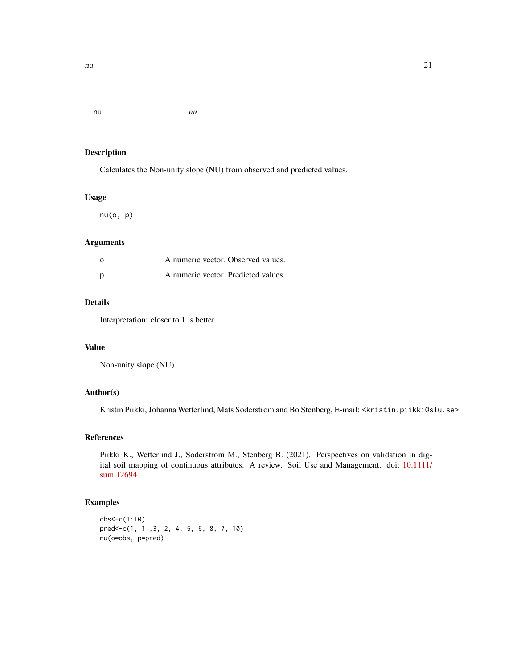<span id="page-20-0"></span>nu *nu*

## Description

Calculates the Non-unity slope (NU) from observed and predicted values.

#### Usage

nu(o, p)

#### Arguments

| റ   | A numeric vector. Observed values.  |  |
|-----|-------------------------------------|--|
| - p | A numeric vector. Predicted values. |  |

# Details

Interpretation: closer to 1 is better.

#### Value

Non-unity slope (NU)

## Author(s)

Kristin Piikki, Johanna Wetterlind, Mats Soderstrom and Bo Stenberg, E-mail: <kristin.piikki@slu.se>

## References

Piikki K., Wetterlind J., Soderstrom M., Stenberg B. (2021). Perspectives on validation in digital soil mapping of continuous attributes. A review. Soil Use and Management. doi: [10.1111/](https://doi.org/10.1111/sum.12694) [sum.12694](https://doi.org/10.1111/sum.12694)

```
obs<-c(1:10)
pred<-c(1, 1 ,3, 2, 4, 5, 6, 8, 7, 10)
nu(o=obs, p=pred)
```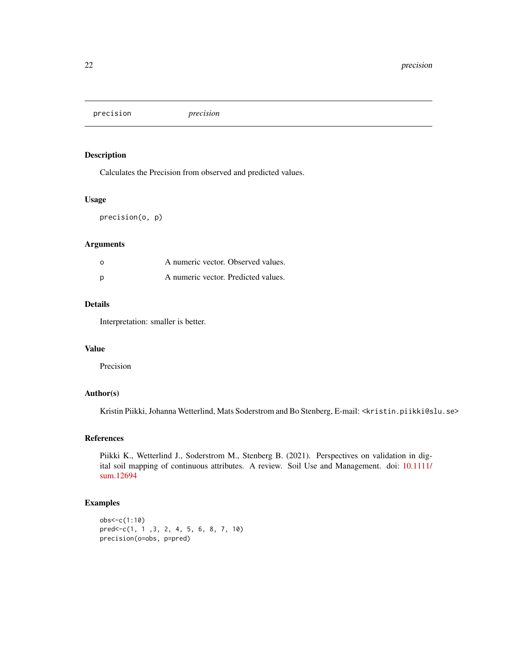<span id="page-21-0"></span>precision *precision*

#### Description

Calculates the Precision from observed and predicted values.

#### Usage

precision(o, p)

#### Arguments

| - റ | A numeric vector. Observed values.  |  |
|-----|-------------------------------------|--|
| - p | A numeric vector. Predicted values. |  |

## Details

Interpretation: smaller is better.

#### Value

Precision

## Author(s)

Kristin Piikki, Johanna Wetterlind, Mats Soderstrom and Bo Stenberg, E-mail: <kristin.piikki@slu.se>

#### References

Piikki K., Wetterlind J., Soderstrom M., Stenberg B. (2021). Perspectives on validation in digital soil mapping of continuous attributes. A review. Soil Use and Management. doi: [10.1111/](https://doi.org/10.1111/sum.12694) [sum.12694](https://doi.org/10.1111/sum.12694)

```
obs<-c(1:10)
pred<-c(1, 1 ,3, 2, 4, 5, 6, 8, 7, 10)
precision(o=obs, p=pred)
```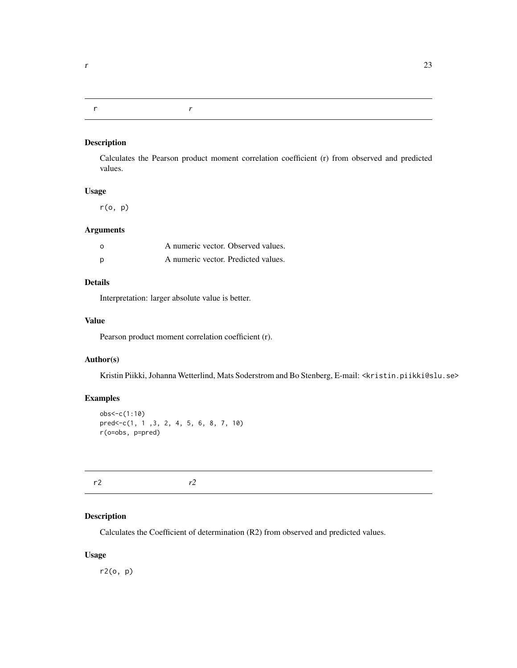#### <span id="page-22-0"></span>r *r*

#### Description

Calculates the Pearson product moment correlation coefficient (r) from observed and predicted values.

#### Usage

r(o, p)

## Arguments

| റ   | A numeric vector. Observed values.  |  |
|-----|-------------------------------------|--|
| - p | A numeric vector. Predicted values. |  |

# Details

Interpretation: larger absolute value is better.

## Value

Pearson product moment correlation coefficient (r).

## Author(s)

Kristin Piikki, Johanna Wetterlind, Mats Soderstrom and Bo Stenberg, E-mail: <kristin.piikki@slu.se>

## Examples

```
obs<-c(1:10)
pred<-c(1, 1 ,3, 2, 4, 5, 6, 8, 7, 10)
r(o=obs, p=pred)
```
r2 *r2*

# Description

Calculates the Coefficient of determination (R2) from observed and predicted values.

## Usage

r2(o, p)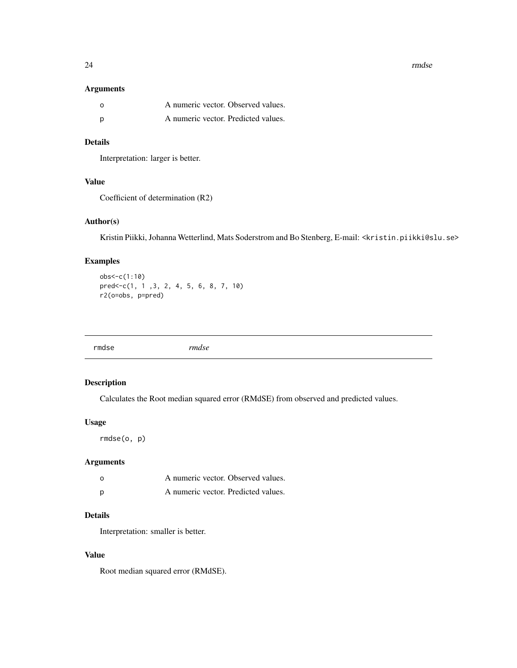24 rmdse

#### Arguments

| - റ | A numeric vector. Observed values.  |  |
|-----|-------------------------------------|--|
| D   | A numeric vector. Predicted values. |  |

# Details

Interpretation: larger is better.

# Value

Coefficient of determination (R2)

## Author(s)

Kristin Piikki, Johanna Wetterlind, Mats Soderstrom and Bo Stenberg, E-mail: <kristin.piikki@slu.se>

# Examples

```
obs<-c(1:10)
pred<-c(1, 1 ,3, 2, 4, 5, 6, 8, 7, 10)
r2(o=obs, p=pred)
```
# Description

Calculates the Root median squared error (RMdSE) from observed and predicted values.

#### Usage

rmdse(o, p)

## Arguments

| O | A numeric vector. Observed values.  |  |
|---|-------------------------------------|--|
| р | A numeric vector. Predicted values. |  |

# Details

Interpretation: smaller is better.

## Value

Root median squared error (RMdSE).

<span id="page-23-0"></span>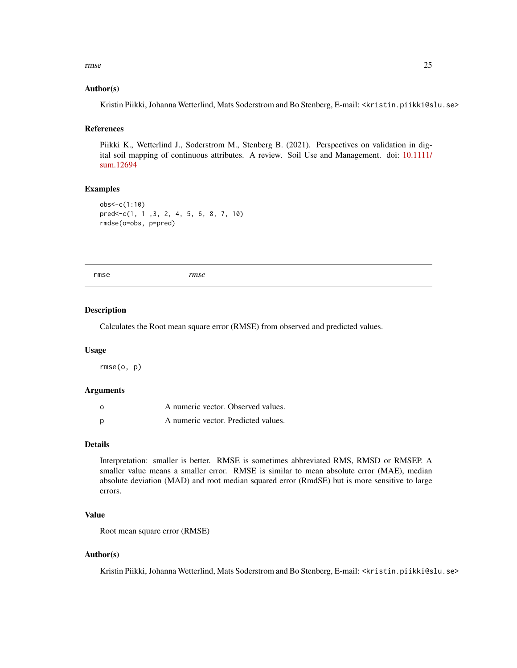<span id="page-24-0"></span>rmse 25

#### Author(s)

Kristin Piikki, Johanna Wetterlind, Mats Soderstrom and Bo Stenberg, E-mail: <kristin.piikki@slu.se>

#### References

Piikki K., Wetterlind J., Soderstrom M., Stenberg B. (2021). Perspectives on validation in digital soil mapping of continuous attributes. A review. Soil Use and Management. doi: [10.1111/](https://doi.org/10.1111/sum.12694) [sum.12694](https://doi.org/10.1111/sum.12694)

#### Examples

```
obs<-c(1:10)
pred<-c(1, 1 ,3, 2, 4, 5, 6, 8, 7, 10)
rmdse(o=obs, p=pred)
```
rmse *rmse*

#### Description

Calculates the Root mean square error (RMSE) from observed and predicted values.

#### Usage

rmse(o, p)

#### Arguments

| o | A numeric vector. Observed values.  |  |
|---|-------------------------------------|--|
| Ŋ | A numeric vector. Predicted values. |  |

#### Details

Interpretation: smaller is better. RMSE is sometimes abbreviated RMS, RMSD or RMSEP. A smaller value means a smaller error. RMSE is similar to mean absolute error (MAE), median absolute deviation (MAD) and root median squared error (RmdSE) but is more sensitive to large errors.

## Value

Root mean square error (RMSE)

#### Author(s)

Kristin Piikki, Johanna Wetterlind, Mats Soderstrom and Bo Stenberg, E-mail: <kristin.piikki@slu.se>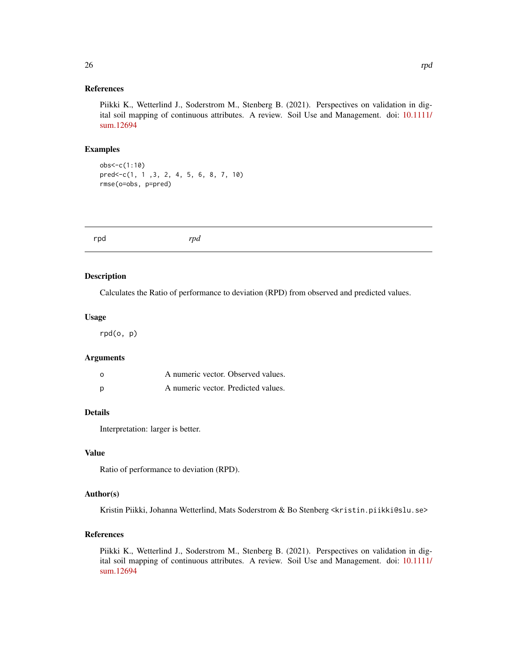#### <span id="page-25-0"></span>References

Piikki K., Wetterlind J., Soderstrom M., Stenberg B. (2021). Perspectives on validation in digital soil mapping of continuous attributes. A review. Soil Use and Management. doi: [10.1111/](https://doi.org/10.1111/sum.12694) [sum.12694](https://doi.org/10.1111/sum.12694)

#### Examples

obs<-c(1:10) pred<-c(1, 1 ,3, 2, 4, 5, 6, 8, 7, 10) rmse(o=obs, p=pred)

#### Description

Calculates the Ratio of performance to deviation (RPD) from observed and predicted values.

#### Usage

rpd(o, p)

## Arguments

| o | A numeric vector. Observed values.  |  |
|---|-------------------------------------|--|
| Ŋ | A numeric vector. Predicted values. |  |

#### Details

Interpretation: larger is better.

#### Value

Ratio of performance to deviation (RPD).

#### Author(s)

Kristin Piikki, Johanna Wetterlind, Mats Soderstrom & Bo Stenberg <kristin.piikki@slu.se>

#### References

Piikki K., Wetterlind J., Soderstrom M., Stenberg B. (2021). Perspectives on validation in digital soil mapping of continuous attributes. A review. Soil Use and Management. doi: [10.1111/](https://doi.org/10.1111/sum.12694) [sum.12694](https://doi.org/10.1111/sum.12694)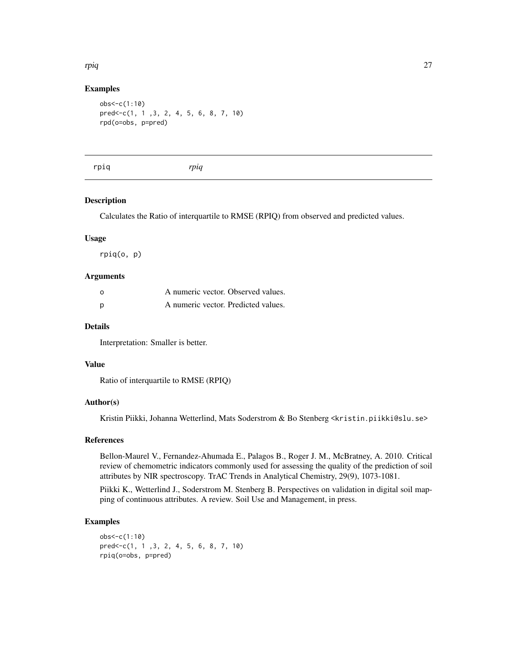# Examples

```
obs<-c(1:10)
pred<-c(1, 1 ,3, 2, 4, 5, 6, 8, 7, 10)
rpd(o=obs, p=pred)
```

|--|--|--|

#### Description

Calculates the Ratio of interquartile to RMSE (RPIQ) from observed and predicted values.

#### Usage

rpiq(o, p)

#### Arguments

| ο | A numeric vector. Observed values.  |  |
|---|-------------------------------------|--|
| Ŋ | A numeric vector. Predicted values. |  |

#### Details

Interpretation: Smaller is better.

#### Value

Ratio of interquartile to RMSE (RPIQ)

#### Author(s)

Kristin Piikki, Johanna Wetterlind, Mats Soderstrom & Bo Stenberg <kristin.piikki@slu.se>

## References

Bellon-Maurel V., Fernandez-Ahumada E., Palagos B., Roger J. M., McBratney, A. 2010. Critical review of chemometric indicators commonly used for assessing the quality of the prediction of soil attributes by NIR spectroscopy. TrAC Trends in Analytical Chemistry, 29(9), 1073-1081.

Piikki K., Wetterlind J., Soderstrom M. Stenberg B. Perspectives on validation in digital soil mapping of continuous attributes. A review. Soil Use and Management, in press.

## Examples

```
obs<-c(1:10)
pred<-c(1, 1 ,3, 2, 4, 5, 6, 8, 7, 10)
rpiq(o=obs, p=pred)
```
<span id="page-26-0"></span>rpiq and the contract of the contract of the contract of the contract of the contract of the contract of the contract of the contract of the contract of the contract of the contract of the contract of the contract of the c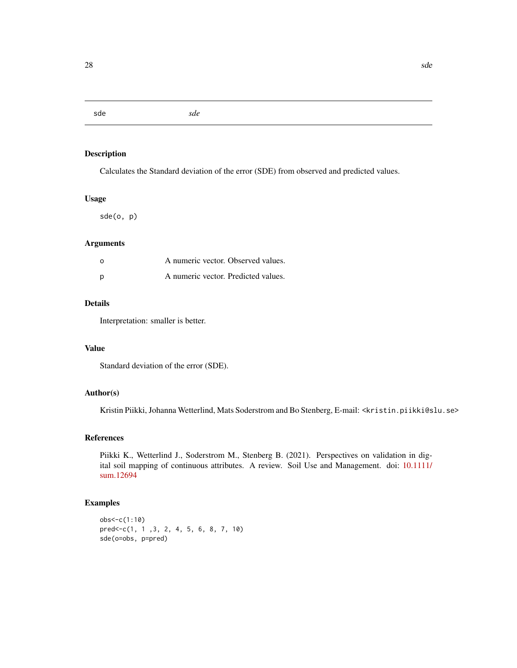<span id="page-27-0"></span>sde *sde*

## Description

Calculates the Standard deviation of the error (SDE) from observed and predicted values.

#### Usage

sde(o, p)

## Arguments

| - റ | A numeric vector. Observed values.  |  |
|-----|-------------------------------------|--|
|     | A numeric vector. Predicted values. |  |

#### Details

Interpretation: smaller is better.

## Value

Standard deviation of the error (SDE).

#### Author(s)

Kristin Piikki, Johanna Wetterlind, Mats Soderstrom and Bo Stenberg, E-mail: <kristin.piikki@slu.se>

## References

Piikki K., Wetterlind J., Soderstrom M., Stenberg B. (2021). Perspectives on validation in digital soil mapping of continuous attributes. A review. Soil Use and Management. doi: [10.1111/](https://doi.org/10.1111/sum.12694) [sum.12694](https://doi.org/10.1111/sum.12694)

```
obs<-c(1:10)
pred<-c(1, 1 ,3, 2, 4, 5, 6, 8, 7, 10)
sde(o=obs, p=pred)
```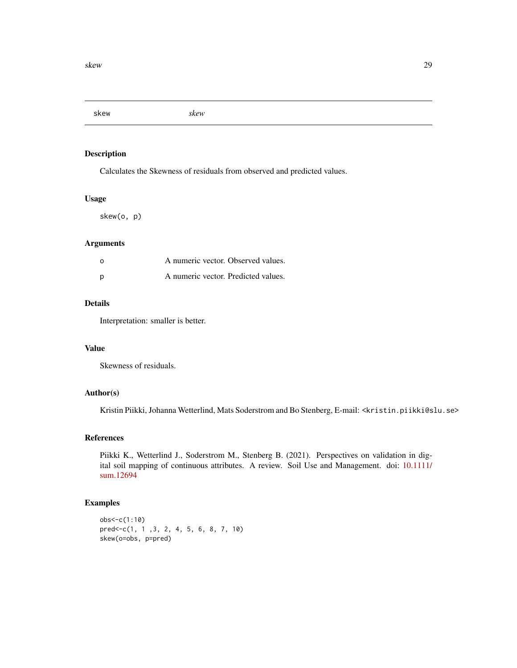<span id="page-28-0"></span>skew *skew*

## Description

Calculates the Skewness of residuals from observed and predicted values.

#### Usage

skew(o, p)

## Arguments

| - റ | A numeric vector. Observed values.  |  |
|-----|-------------------------------------|--|
| - p | A numeric vector. Predicted values. |  |

#### Details

Interpretation: smaller is better.

#### Value

Skewness of residuals.

#### Author(s)

Kristin Piikki, Johanna Wetterlind, Mats Soderstrom and Bo Stenberg, E-mail: <kristin.piikki@slu.se>

#### References

Piikki K., Wetterlind J., Soderstrom M., Stenberg B. (2021). Perspectives on validation in digital soil mapping of continuous attributes. A review. Soil Use and Management. doi: [10.1111/](https://doi.org/10.1111/sum.12694) [sum.12694](https://doi.org/10.1111/sum.12694)

```
obs<-c(1:10)
pred<-c(1, 1 ,3, 2, 4, 5, 6, 8, 7, 10)
skew(o=obs, p=pred)
```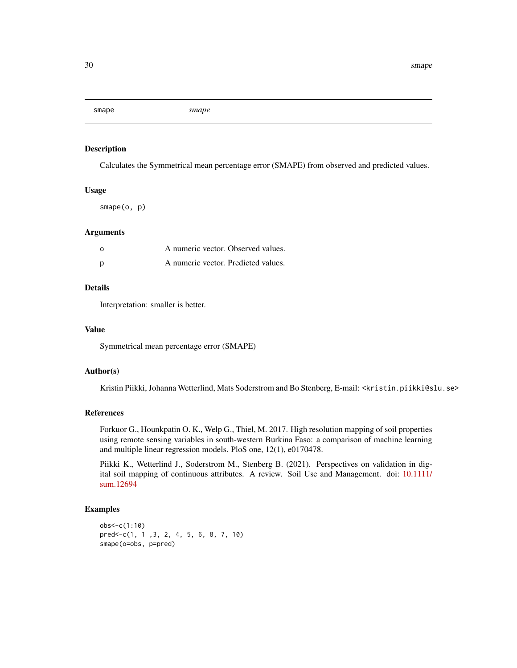<span id="page-29-0"></span>smape *smape*

## Description

Calculates the Symmetrical mean percentage error (SMAPE) from observed and predicted values.

## Usage

smape(o, p)

## Arguments

| ο | A numeric vector. Observed values.  |  |
|---|-------------------------------------|--|
| Ŋ | A numeric vector. Predicted values. |  |

## Details

Interpretation: smaller is better.

#### Value

Symmetrical mean percentage error (SMAPE)

#### Author(s)

Kristin Piikki, Johanna Wetterlind, Mats Soderstrom and Bo Stenberg, E-mail: <kristin.piikki@slu.se>

#### References

Forkuor G., Hounkpatin O. K., Welp G., Thiel, M. 2017. High resolution mapping of soil properties using remote sensing variables in south-western Burkina Faso: a comparison of machine learning and multiple linear regression models. PloS one, 12(1), e0170478.

Piikki K., Wetterlind J., Soderstrom M., Stenberg B. (2021). Perspectives on validation in digital soil mapping of continuous attributes. A review. Soil Use and Management. doi: [10.1111/](https://doi.org/10.1111/sum.12694) [sum.12694](https://doi.org/10.1111/sum.12694)

```
obs<-c(1:10)
pred<-c(1, 1 ,3, 2, 4, 5, 6, 8, 7, 10)
smape(o=obs, p=pred)
```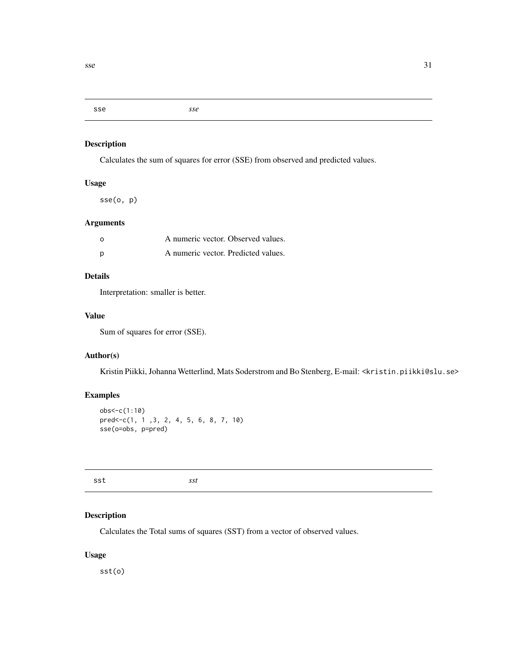#### <span id="page-30-0"></span>sse *sse*

# Description

Calculates the sum of squares for error (SSE) from observed and predicted values.

# Usage

sse(o, p)

# Arguments

| $\Omega$ | A numeric vector. Observed values.  |  |
|----------|-------------------------------------|--|
| p        | A numeric vector. Predicted values. |  |

# Details

Interpretation: smaller is better.

## Value

Sum of squares for error (SSE).

# Author(s)

Kristin Piikki, Johanna Wetterlind, Mats Soderstrom and Bo Stenberg, E-mail: <kristin.piikki@slu.se>

## Examples

```
obs<-c(1:10)
pred<-c(1, 1 ,3, 2, 4, 5, 6, 8, 7, 10)
sse(o=obs, p=pred)
```
sst *sst*

## Description

Calculates the Total sums of squares (SST) from a vector of observed values.

## Usage

sst(o)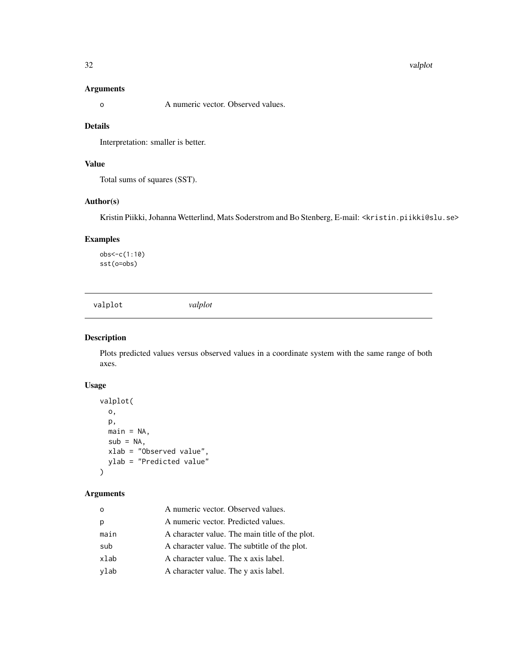#### <span id="page-31-0"></span>32 valplot

#### Arguments

o A numeric vector. Observed values.

## Details

Interpretation: smaller is better.

# Value

Total sums of squares (SST).

#### Author(s)

Kristin Piikki, Johanna Wetterlind, Mats Soderstrom and Bo Stenberg, E-mail: <kristin.piikki@slu.se>

## Examples

obs<-c(1:10) sst(o=obs)

valplot *valplot*

#### Description

Plots predicted values versus observed values in a coordinate system with the same range of both axes.

## Usage

```
valplot(
  o,
 p,
 main = NA,
  sub = NA,
  xlab = "Observed value",
 ylab = "Predicted value"
)
```
#### Arguments

| $\Omega$ | A numeric vector. Observed values.             |  |
|----------|------------------------------------------------|--|
| p        | A numeric vector. Predicted values.            |  |
| main     | A character value. The main title of the plot. |  |
| sub      | A character value. The subtitle of the plot.   |  |
| xlab     | A character value. The x axis label.           |  |
| ylab     | A character value. The y axis label.           |  |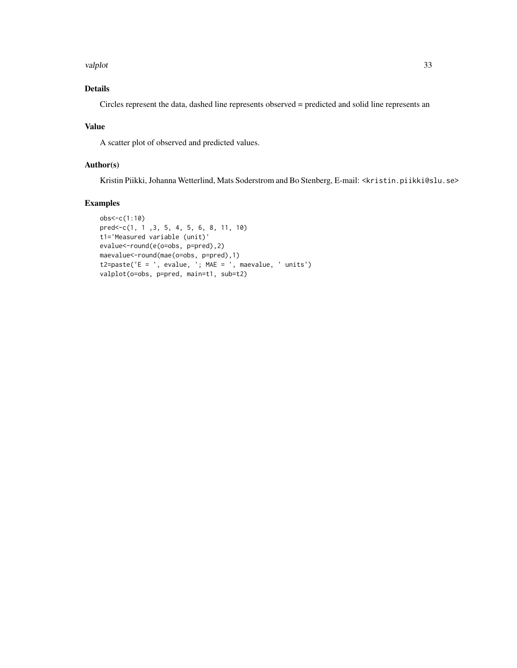#### valplot 33

# Details

Circles represent the data, dashed line represents observed = predicted and solid line represents an

## Value

A scatter plot of observed and predicted values.

#### Author(s)

Kristin Piikki, Johanna Wetterlind, Mats Soderstrom and Bo Stenberg, E-mail: <kristin.piikki@slu.se>

```
obs<-c(1:10)
pred<-c(1, 1 ,3, 5, 4, 5, 6, 8, 11, 10)
t1='Measured variable (unit)'
evalue<-round(e(o=obs, p=pred),2)
maevalue<-round(mae(o=obs, p=pred),1)
t2=paste('E = ', evalue, '; MAE = ', maevalue, ' units')
valplot(o=obs, p=pred, main=t1, sub=t2)
```